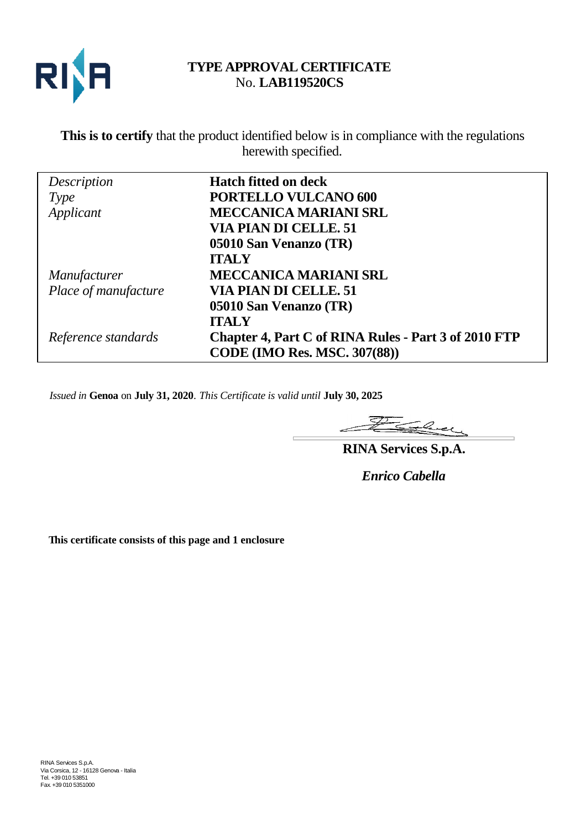

# **TYPE APPROVAL CERTIFICATE** No. **LAB119520CS**

**This is to certify** that the product identified below is in compliance with the regulations herewith specified.

| Description          | <b>Hatch fitted on deck</b>                                 |
|----------------------|-------------------------------------------------------------|
| Type                 | <b>PORTELLO VULCANO 600</b>                                 |
| Applicant            | <b>MECCANICA MARIANI SRL</b>                                |
|                      | VIA PIAN DI CELLE. 51                                       |
|                      | 05010 San Venanzo (TR)                                      |
|                      | <b>TALY</b>                                                 |
| <i>Manufacturer</i>  | <b>MECCANICA MARIANI SRL</b>                                |
| Place of manufacture | VIA PIAN DI CELLE. 51                                       |
|                      | 05010 San Venanzo (TR)                                      |
|                      | <b>ITALY</b>                                                |
| Reference standards  | <b>Chapter 4, Part C of RINA Rules - Part 3 of 2010 FTP</b> |
|                      | <b>CODE (IMO Res. MSC. 307(88))</b>                         |

*Issued in* **Genoa** on **July 31, 2020**. *This Certificate is valid until* **July 30, 2025**

**RINA Services S.p.A.**

*Enrico Cabella*

**This certificate consists of this page and 1 enclosure**